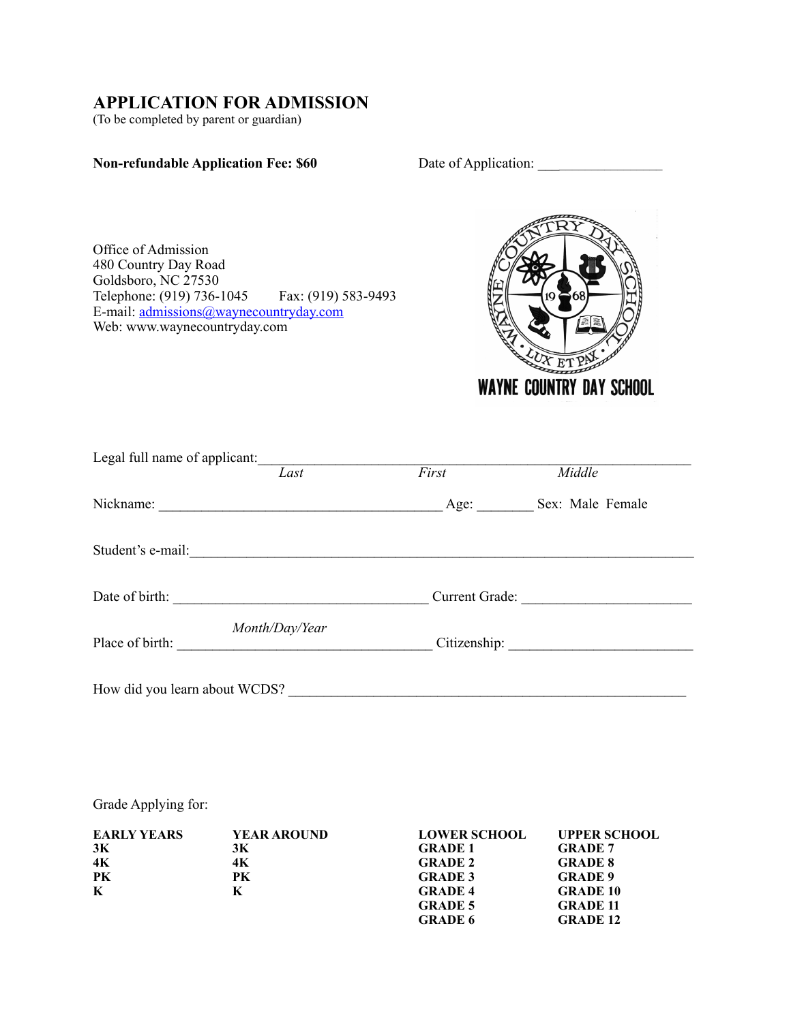## **APPLICATION FOR ADMISSION**

(To be completed by parent or guardian)

## **Non-refundable Application Fee: \$60** Date of Application:

Office of Admission 480 Country Day Road Goldsboro, NC 27530 Telephone: (919) 736-1045 Fax: (919) 583-9493 E-mail: [admissions@waynecountryday.com](mailto:admissions@waynecountryday.com) Web: www.waynecountryday.com



| Legal full name of applicant: | Last           | First       | Middle           |
|-------------------------------|----------------|-------------|------------------|
|                               |                | Age: $\_\_$ | Sex: Male Female |
| Student's e-mail:             |                |             |                  |
| Date of birth:                |                |             | Current Grade:   |
| Place of birth:               | Month/Day/Year |             |                  |
| How did you learn about WCDS? |                |             |                  |

Grade Applying for:

| <b>EARLY YEARS</b> | <b>YEAR AROUND</b> | <b>LOWER SCHOOL</b> | <b>UPPER SCHOOL</b> |
|--------------------|--------------------|---------------------|---------------------|
| 3K                 | 3К                 | <b>GRADE 1</b>      | <b>GRADE 7</b>      |
| 4K                 | 4K                 | <b>GRADE 2</b>      | <b>GRADE 8</b>      |
| PК                 | PК                 | <b>GRADE 3</b>      | <b>GRADE 9</b>      |
| $\bf K$            | K                  | <b>GRADE 4</b>      | <b>GRADE 10</b>     |
|                    |                    | <b>GRADE 5</b>      | <b>GRADE 11</b>     |
|                    |                    | <b>GRADE 6</b>      | <b>GRADE 12</b>     |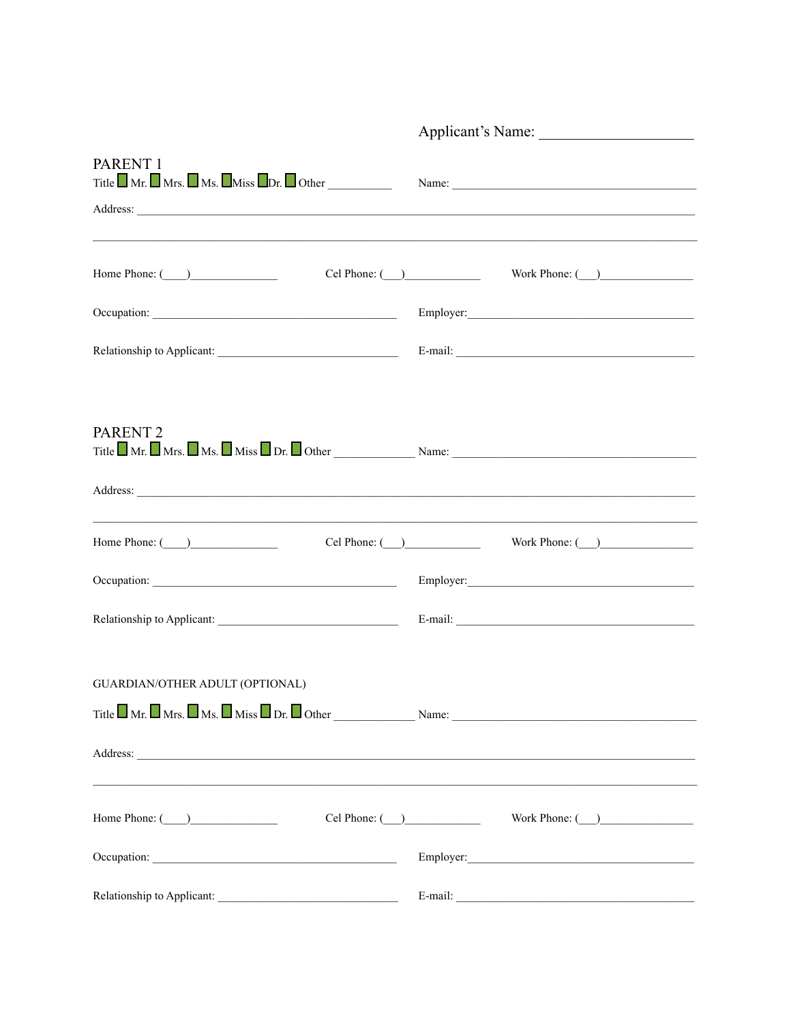|                                                                                                                                                                                        | Applicant's Name:              |  |  |
|----------------------------------------------------------------------------------------------------------------------------------------------------------------------------------------|--------------------------------|--|--|
| PARENT <sub>1</sub><br>Title $\blacksquare$ Mr. $\blacksquare$ Mrs. $\blacksquare$ Miss $\blacksquare$ Dr. $\blacksquare$ Other $\blacksquare$ Name: $\blacksquare$                    |                                |  |  |
| Home Phone: $\qquad \qquad$                                                                                                                                                            |                                |  |  |
|                                                                                                                                                                                        |                                |  |  |
|                                                                                                                                                                                        |                                |  |  |
| PARENT <sub>2</sub><br>Title $\blacksquare$ Mr. $\blacksquare$ Mrs. $\blacksquare$ Ms. $\blacksquare$ Miss $\blacksquare$ Dr. $\blacksquare$ Other $\blacksquare$ Name: $\blacksquare$ |                                |  |  |
|                                                                                                                                                                                        |                                |  |  |
| Home Phone: $\qquad \qquad$                                                                                                                                                            |                                |  |  |
|                                                                                                                                                                                        |                                |  |  |
|                                                                                                                                                                                        |                                |  |  |
| <b>GUARDIAN/OTHER ADULT (OPTIONAL)</b>                                                                                                                                                 |                                |  |  |
| Title $\Box$ Mr. $\Box$ Mrs. $\Box$ Ms. $\Box$ Miss $\Box$ Dr. $\Box$ Other $\Box$ Name: $\Box$ Name: $\Box$                                                                           |                                |  |  |
| Address:                                                                                                                                                                               |                                |  |  |
| Home Phone: $\qquad \qquad$                                                                                                                                                            | Cel Phone: ( ) Work Phone: ( ) |  |  |
|                                                                                                                                                                                        |                                |  |  |
|                                                                                                                                                                                        |                                |  |  |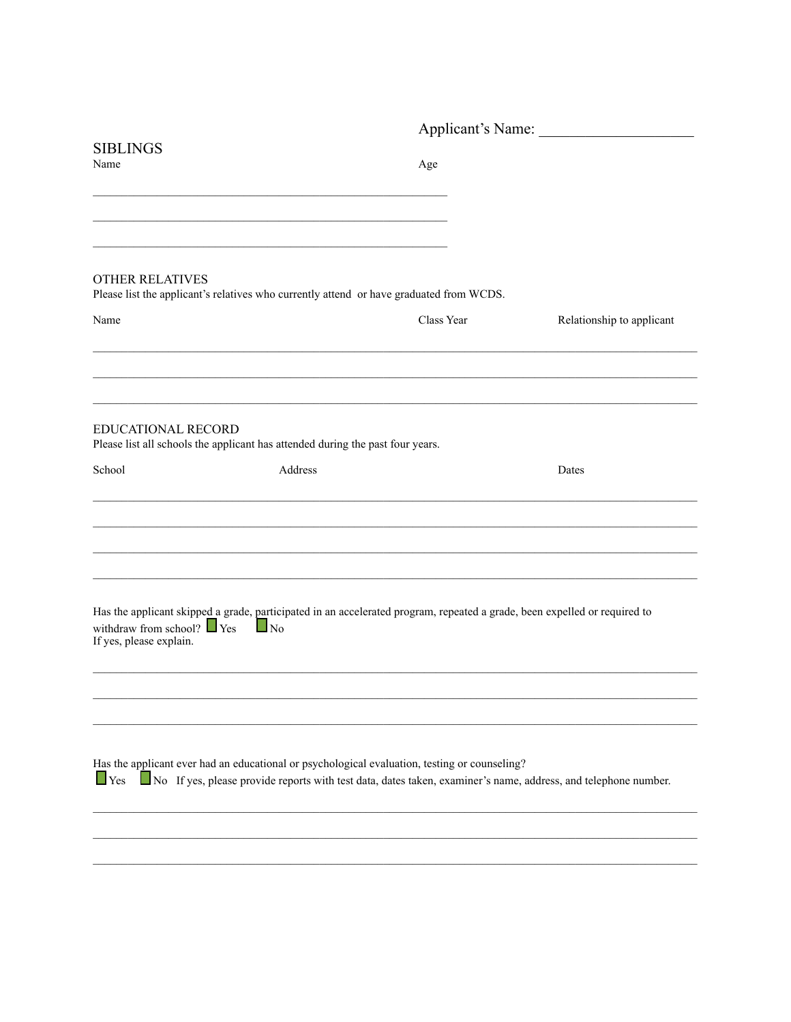|                                                                                                                                                                                          |           | Applicant's Name: |                                                                                                                |  |
|------------------------------------------------------------------------------------------------------------------------------------------------------------------------------------------|-----------|-------------------|----------------------------------------------------------------------------------------------------------------|--|
| <b>SIBLINGS</b><br>Name                                                                                                                                                                  |           | Age               |                                                                                                                |  |
| <b>OTHER RELATIVES</b><br>Please list the applicant's relatives who currently attend or have graduated from WCDS.<br>Name                                                                |           | Class Year        | Relationship to applicant                                                                                      |  |
| EDUCATIONAL RECORD<br>Please list all schools the applicant has attended during the past four years.                                                                                     |           |                   |                                                                                                                |  |
| School                                                                                                                                                                                   | Address   |                   | Dates                                                                                                          |  |
| Has the applicant skipped a grade, participated in an accelerated program, repeated a grade, been expelled or required to<br>withdraw from school? $\Box$ Yes<br>If yes, please explain. | $\Box$ No |                   |                                                                                                                |  |
| Has the applicant ever had an educational or psychological evaluation, testing or counseling?<br>$\Box$ Yes                                                                              |           |                   | No If yes, please provide reports with test data, dates taken, examiner's name, address, and telephone number. |  |
|                                                                                                                                                                                          |           |                   |                                                                                                                |  |